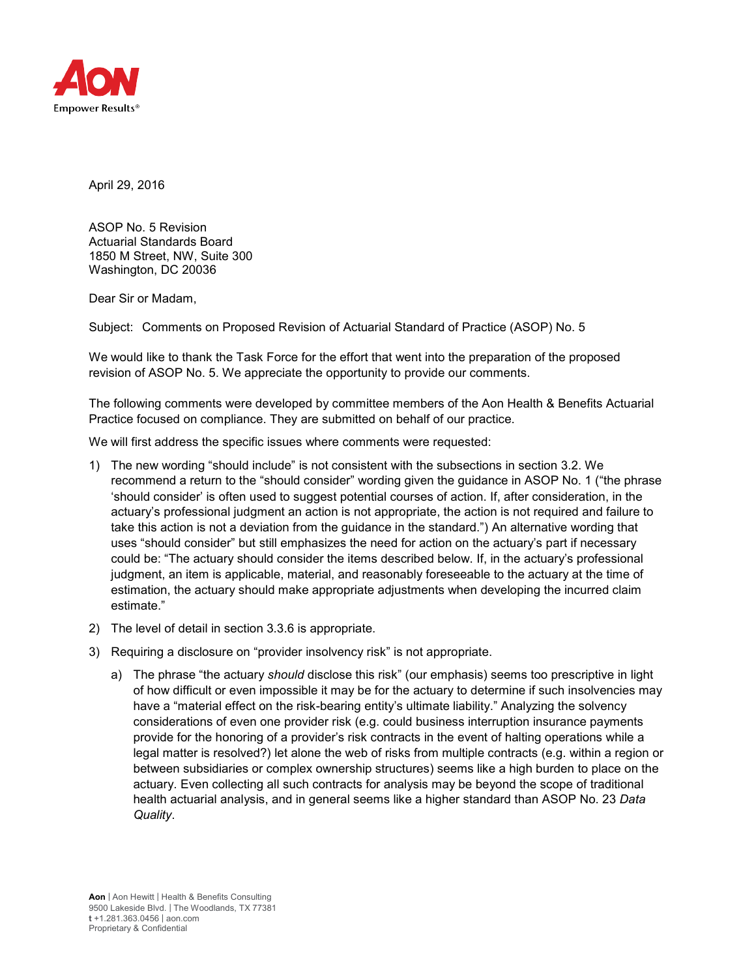

April 29, 2016

ASOP No. 5 Revision Actuarial Standards Board 1850 M Street, NW, Suite 300 Washington, DC 20036

Dear Sir or Madam,

Subject: Comments on Proposed Revision of Actuarial Standard of Practice (ASOP) No. 5

We would like to thank the Task Force for the effort that went into the preparation of the proposed revision of ASOP No. 5. We appreciate the opportunity to provide our comments.

The following comments were developed by committee members of the Aon Health & Benefits Actuarial Practice focused on compliance. They are submitted on behalf of our practice.

We will first address the specific issues where comments were requested:

- 1) The new wording "should include" is not consistent with the subsections in section 3.2. We recommend a return to the "should consider" wording given the guidance in ASOP No. 1 ("the phrase 'should consider' is often used to suggest potential courses of action. If, after consideration, in the actuary's professional judgment an action is not appropriate, the action is not required and failure to take this action is not a deviation from the guidance in the standard.") An alternative wording that uses "should consider" but still emphasizes the need for action on the actuary's part if necessary could be: "The actuary should consider the items described below. If, in the actuary's professional judgment, an item is applicable, material, and reasonably foreseeable to the actuary at the time of estimation, the actuary should make appropriate adjustments when developing the incurred claim estimate."
- 2) The level of detail in section 3.3.6 is appropriate.
- 3) Requiring a disclosure on "provider insolvency risk" is not appropriate.
	- a) The phrase "the actuary *should* disclose this risk" (our emphasis) seems too prescriptive in light of how difficult or even impossible it may be for the actuary to determine if such insolvencies may have a "material effect on the risk-bearing entity's ultimate liability." Analyzing the solvency considerations of even one provider risk (e.g. could business interruption insurance payments provide for the honoring of a provider's risk contracts in the event of halting operations while a legal matter is resolved?) let alone the web of risks from multiple contracts (e.g. within a region or between subsidiaries or complex ownership structures) seems like a high burden to place on the actuary. Even collecting all such contracts for analysis may be beyond the scope of traditional health actuarial analysis, and in general seems like a higher standard than ASOP No. 23 *Data Quality*.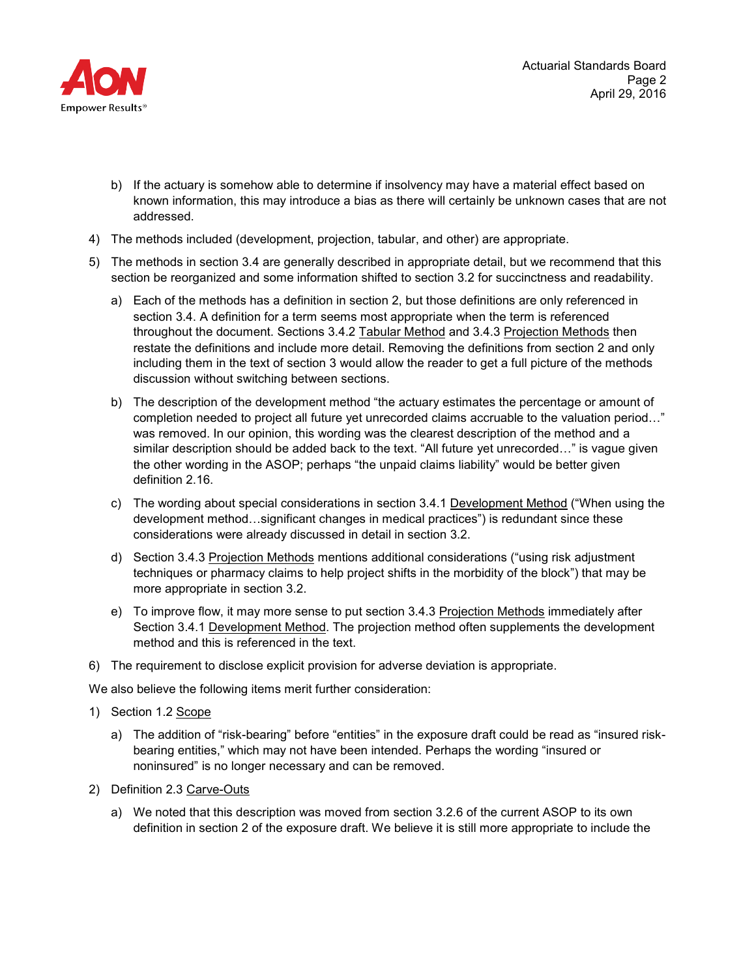

- b) If the actuary is somehow able to determine if insolvency may have a material effect based on known information, this may introduce a bias as there will certainly be unknown cases that are not addressed.
- 4) The methods included (development, projection, tabular, and other) are appropriate.
- 5) The methods in section 3.4 are generally described in appropriate detail, but we recommend that this section be reorganized and some information shifted to section 3.2 for succinctness and readability.
	- a) Each of the methods has a definition in section 2, but those definitions are only referenced in section 3.4. A definition for a term seems most appropriate when the term is referenced throughout the document. Sections 3.4.2 Tabular Method and 3.4.3 Projection Methods then restate the definitions and include more detail. Removing the definitions from section 2 and only including them in the text of section 3 would allow the reader to get a full picture of the methods discussion without switching between sections.
	- b) The description of the development method "the actuary estimates the percentage or amount of completion needed to project all future yet unrecorded claims accruable to the valuation period…" was removed. In our opinion, this wording was the clearest description of the method and a similar description should be added back to the text. "All future yet unrecorded…" is vague given the other wording in the ASOP; perhaps "the unpaid claims liability" would be better given definition 2.16.
	- c) The wording about special considerations in section 3.4.1 Development Method ("When using the development method…significant changes in medical practices") is redundant since these considerations were already discussed in detail in section 3.2.
	- d) Section 3.4.3 Projection Methods mentions additional considerations ("using risk adjustment techniques or pharmacy claims to help project shifts in the morbidity of the block") that may be more appropriate in section 3.2.
	- e) To improve flow, it may more sense to put section 3.4.3 Projection Methods immediately after Section 3.4.1 Development Method. The projection method often supplements the development method and this is referenced in the text.
- 6) The requirement to disclose explicit provision for adverse deviation is appropriate.

We also believe the following items merit further consideration:

- 1) Section 1.2 Scope
	- a) The addition of "risk-bearing" before "entities" in the exposure draft could be read as "insured riskbearing entities," which may not have been intended. Perhaps the wording "insured or noninsured" is no longer necessary and can be removed.
- 2) Definition 2.3 Carve-Outs
	- a) We noted that this description was moved from section 3.2.6 of the current ASOP to its own definition in section 2 of the exposure draft. We believe it is still more appropriate to include the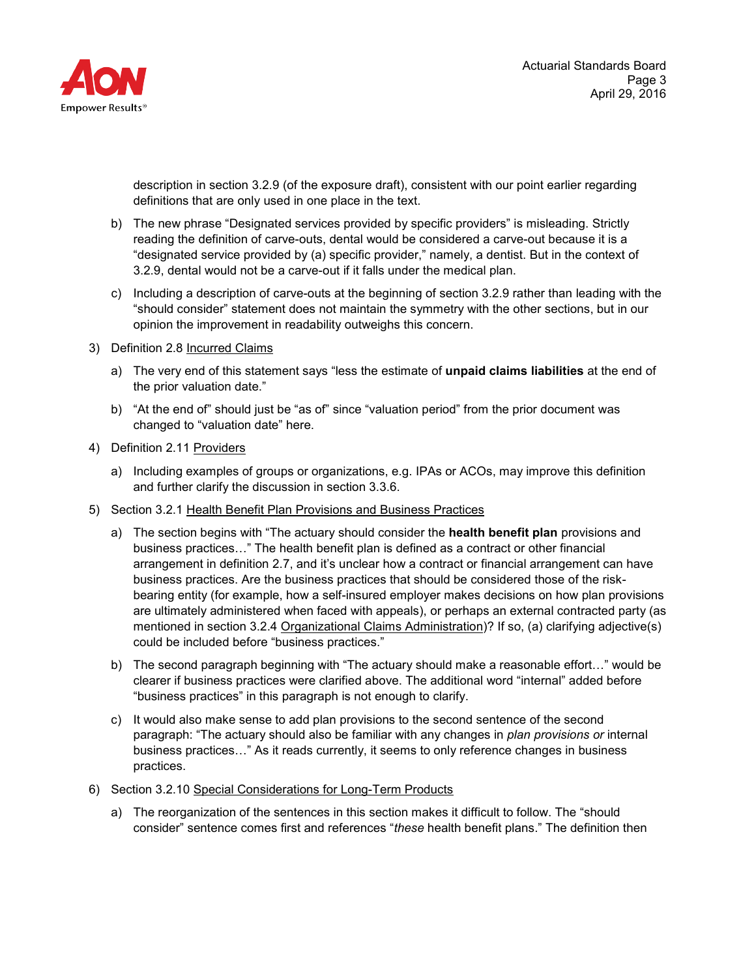

description in section 3.2.9 (of the exposure draft), consistent with our point earlier regarding definitions that are only used in one place in the text.

- b) The new phrase "Designated services provided by specific providers" is misleading. Strictly reading the definition of carve-outs, dental would be considered a carve-out because it is a "designated service provided by (a) specific provider," namely, a dentist. But in the context of 3.2.9, dental would not be a carve-out if it falls under the medical plan.
- c) Including a description of carve-outs at the beginning of section 3.2.9 rather than leading with the "should consider" statement does not maintain the symmetry with the other sections, but in our opinion the improvement in readability outweighs this concern.
- 3) Definition 2.8 Incurred Claims
	- a) The very end of this statement says "less the estimate of **unpaid claims liabilities** at the end of the prior valuation date."
	- b) "At the end of" should just be "as of" since "valuation period" from the prior document was changed to "valuation date" here.
- 4) Definition 2.11 Providers
	- a) Including examples of groups or organizations, e.g. IPAs or ACOs, may improve this definition and further clarify the discussion in section 3.3.6.
- 5) Section 3.2.1 Health Benefit Plan Provisions and Business Practices
	- a) The section begins with "The actuary should consider the **health benefit plan** provisions and business practices…" The health benefit plan is defined as a contract or other financial arrangement in definition 2.7, and it's unclear how a contract or financial arrangement can have business practices. Are the business practices that should be considered those of the riskbearing entity (for example, how a self-insured employer makes decisions on how plan provisions are ultimately administered when faced with appeals), or perhaps an external contracted party (as mentioned in section 3.2.4 Organizational Claims Administration)? If so, (a) clarifying adjective(s) could be included before "business practices."
	- b) The second paragraph beginning with "The actuary should make a reasonable effort…" would be clearer if business practices were clarified above. The additional word "internal" added before "business practices" in this paragraph is not enough to clarify.
	- c) It would also make sense to add plan provisions to the second sentence of the second paragraph: "The actuary should also be familiar with any changes in *plan provisions or* internal business practices…" As it reads currently, it seems to only reference changes in business practices.
- 6) Section 3.2.10 Special Considerations for Long-Term Products
	- a) The reorganization of the sentences in this section makes it difficult to follow. The "should consider" sentence comes first and references "*these* health benefit plans." The definition then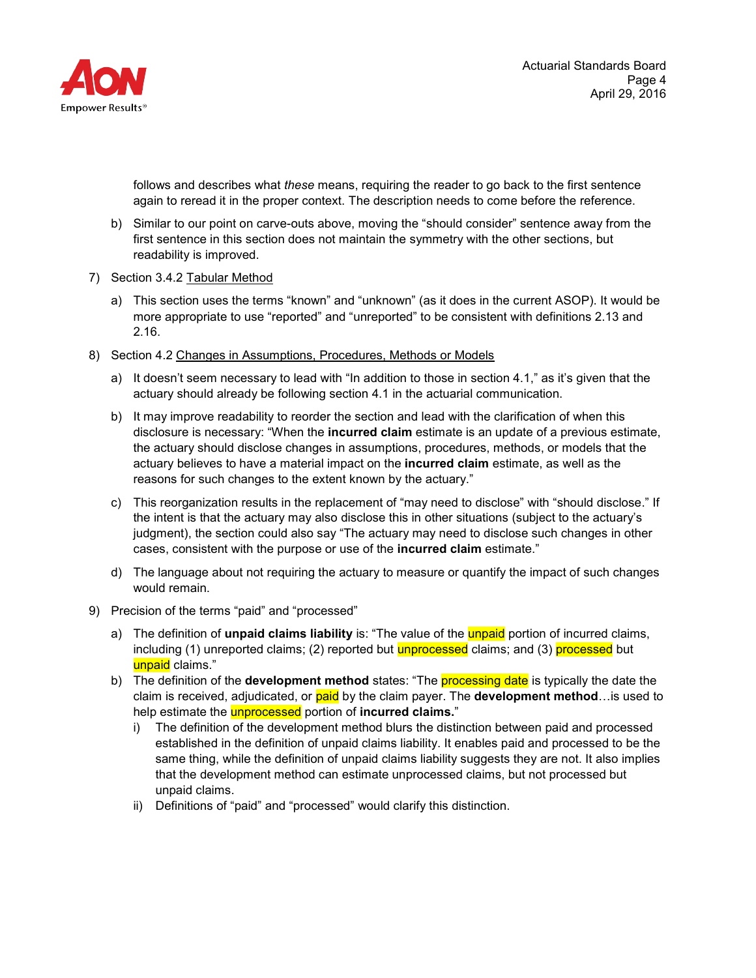

follows and describes what *these* means, requiring the reader to go back to the first sentence again to reread it in the proper context. The description needs to come before the reference.

- b) Similar to our point on carve-outs above, moving the "should consider" sentence away from the first sentence in this section does not maintain the symmetry with the other sections, but readability is improved.
- 7) Section 3.4.2 Tabular Method
	- a) This section uses the terms "known" and "unknown" (as it does in the current ASOP). It would be more appropriate to use "reported" and "unreported" to be consistent with definitions 2.13 and 2.16.
- 8) Section 4.2 Changes in Assumptions, Procedures, Methods or Models
	- a) It doesn't seem necessary to lead with "In addition to those in section 4.1," as it's given that the actuary should already be following section 4.1 in the actuarial communication.
	- b) It may improve readability to reorder the section and lead with the clarification of when this disclosure is necessary: "When the **incurred claim** estimate is an update of a previous estimate, the actuary should disclose changes in assumptions, procedures, methods, or models that the actuary believes to have a material impact on the **incurred claim** estimate, as well as the reasons for such changes to the extent known by the actuary."
	- c) This reorganization results in the replacement of "may need to disclose" with "should disclose." If the intent is that the actuary may also disclose this in other situations (subject to the actuary's judgment), the section could also say "The actuary may need to disclose such changes in other cases, consistent with the purpose or use of the **incurred claim** estimate."
	- d) The language about not requiring the actuary to measure or quantify the impact of such changes would remain.
- 9) Precision of the terms "paid" and "processed"
	- a) The definition of **unpaid claims liability** is: "The value of the unpaid portion of incurred claims, including (1) unreported claims; (2) reported but unprocessed claims; and (3) processed but unpaid claims."
	- b) The definition of the **development method** states: "The processing date is typically the date the claim is received, adjudicated, or paid by the claim payer. The **development method**…is used to help estimate the unprocessed portion of **incurred claims.**"
		- i) The definition of the development method blurs the distinction between paid and processed established in the definition of unpaid claims liability. It enables paid and processed to be the same thing, while the definition of unpaid claims liability suggests they are not. It also implies that the development method can estimate unprocessed claims, but not processed but unpaid claims.
		- ii) Definitions of "paid" and "processed" would clarify this distinction.